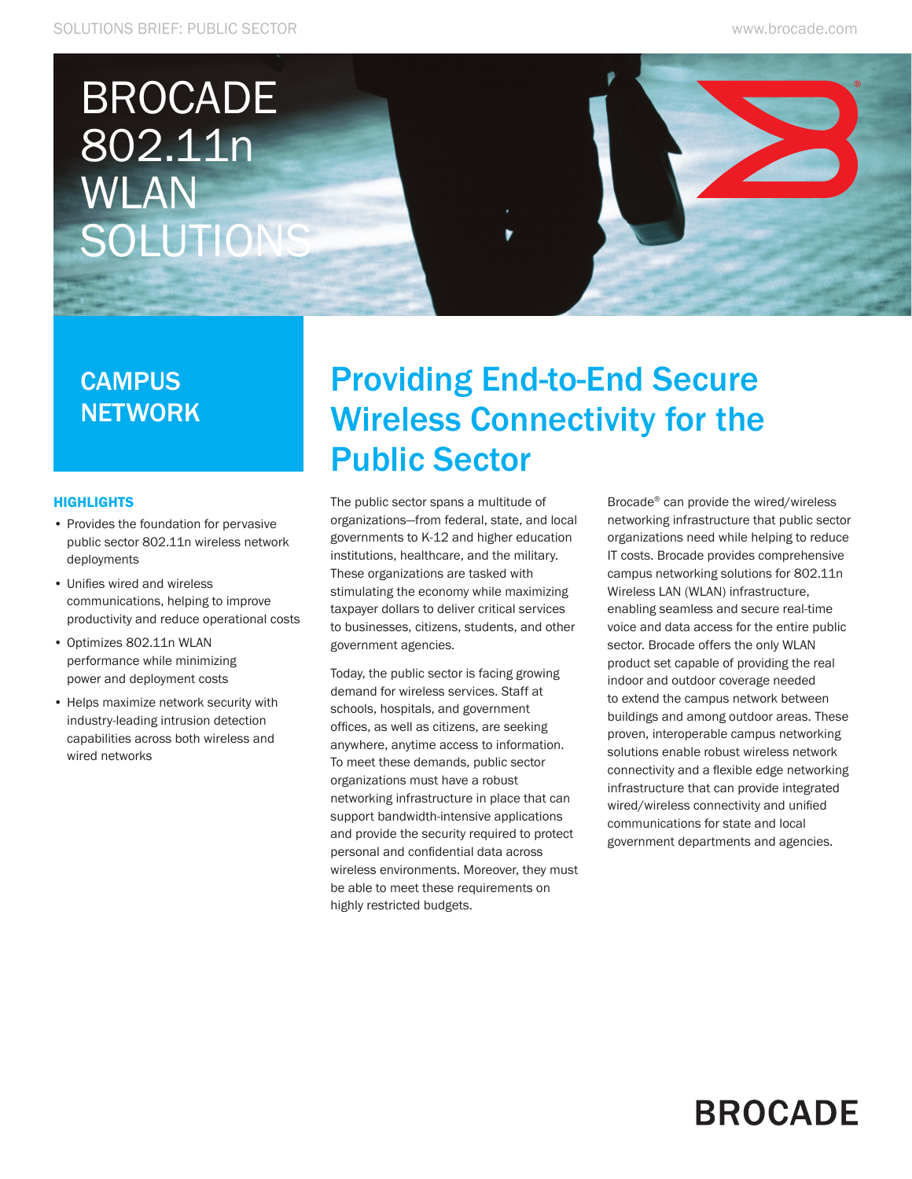# BROCADE 802.11n WLAN SOLUTIONS

### **CAMPUS NETWORK**

#### **HIGHLIGHTS**

- • Provides the foundation for pervasive public sector 802.11n wireless network deployments
- • Unifies wired and wireless communications, helping to improve productivity and reduce operational costs
- • Optimizes 802.11n WLAN performance while minimizing power and deployment costs
- • Helps maximize network security with industry-leading intrusion detection capabilities across both wireless and wired networks

### Providing End-to-End Secure Wireless Connectivity for the Public Sector

The public sector spans a multitude of organizations—from federal, state, and local governments to K-12 and higher education institutions, healthcare, and the military. These organizations are tasked with stimulating the economy while maximizing taxpayer dollars to deliver critical services to businesses, citizens, students, and other government agencies.

Today, the public sector is facing growing demand for wireless services. Staff at schools, hospitals, and government offices, as well as citizens, are seeking anywhere, anytime access to information. To meet these demands, public sector organizations must have a robust networking infrastructure in place that can support bandwidth-intensive applications and provide the security required to protect personal and confidential data across wireless environments. Moreover, they must be able to meet these requirements on highly restricted budgets.

Brocade® can provide the wired/wireless networking infrastructure that public sector organizations need while helping to reduce IT costs. Brocade provides comprehensive campus networking solutions for 802.11n Wireless LAN (WLAN) infrastructure, enabling seamless and secure real-time voice and data access for the entire public sector. Brocade offers the only WLAN product set capable of providing the real indoor and outdoor coverage needed to extend the campus network between buildings and among outdoor areas. These proven, interoperable campus networking solutions enable robust wireless network connectivity and a flexible edge networking infrastructure that can provide integrated wired/wireless connectivity and unified communications for state and local government departments and agencies.

## **BROCADE**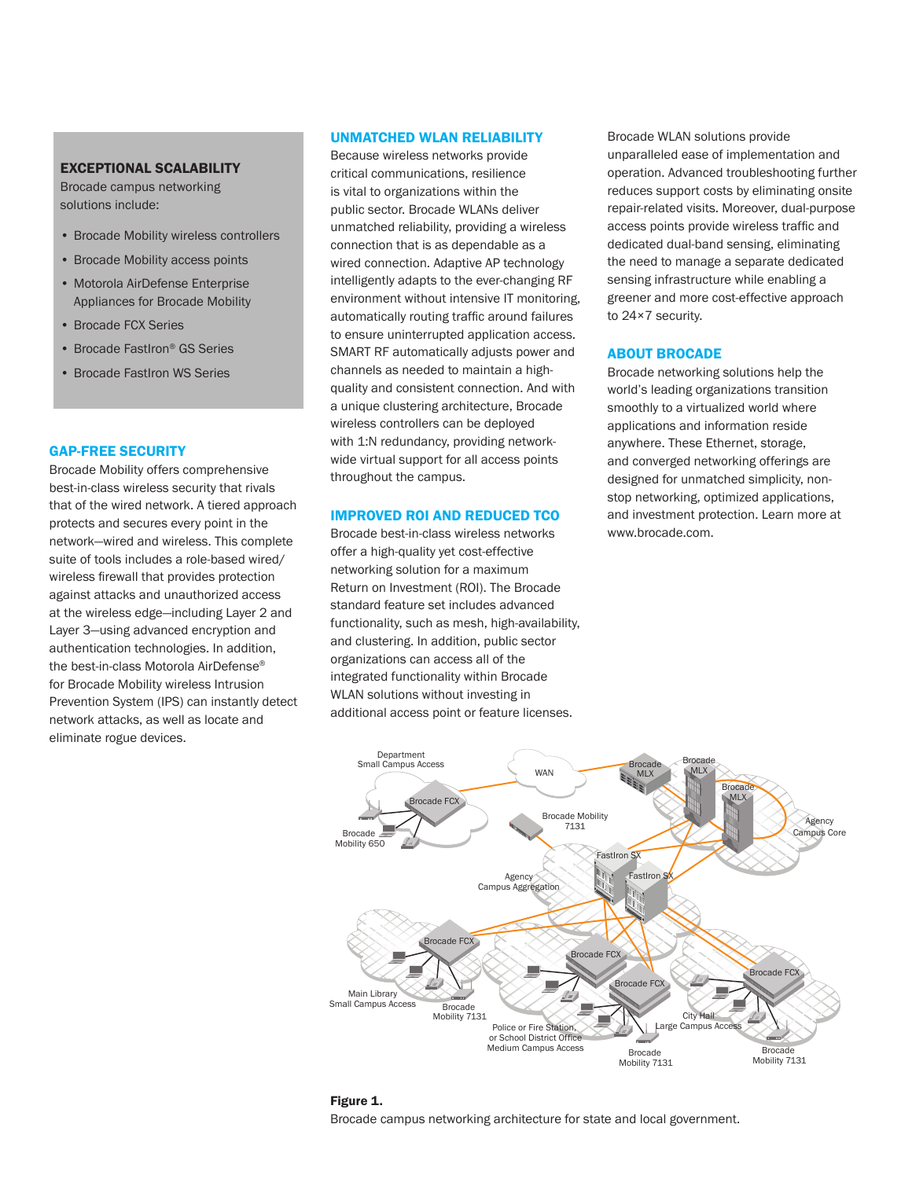#### EXCEPTIONAL SCALABILITY

Brocade campus networking solutions include:

- • Brocade Mobility wireless controllers
- Brocade Mobility access points
- Motorola AirDefense Enterprise Appliances for Brocade Mobility
- • Brocade FCX Series
- Brocade FastIron<sup>®</sup> GS Series
- Brocade FastIron WS Series

#### GAP-FREE SECURITY

Brocade Mobility offers comprehensive best-in-class wireless security that rivals that of the wired network. A tiered approach protects and secures every point in the network—wired and wireless. This complete suite of tools includes a role-based wired/ wireless firewall that provides protection against attacks and unauthorized access at the wireless edge—including Layer 2 and Layer 3—using advanced encryption and authentication technologies. In addition, the best-in-class Motorola AirDefense® for Brocade Mobility wireless Intrusion Prevention System (IPS) can instantly detect network attacks, as well as locate and eliminate rogue devices.

#### UNMATCHED WLAN RELIABILITY

Because wireless networks provide critical communications, resilience is vital to organizations within the public sector. Brocade WLANs deliver unmatched reliability, providing a wireless connection that is as dependable as a wired connection. Adaptive AP technology intelligently adapts to the ever-changing RF environment without intensive IT monitoring, automatically routing traffic around failures to ensure uninterrupted application access. SMART RF automatically adjusts power and channels as needed to maintain a highquality and consistent connection. And with a unique clustering architecture, Brocade wireless controllers can be deployed with 1:N redundancy, providing networkwide virtual support for all access points throughout the campus.

#### IMPROVED ROI AND REDUCED TCO

Brocade best-in-class wireless networks offer a high-quality yet cost-effective networking solution for a maximum Return on Investment (ROI). The Brocade standard feature set includes advanced functionality, such as mesh, high-availability, and clustering. In addition, public sector organizations can access all of the integrated functionality within Brocade WLAN solutions without investing in additional access point or feature licenses.

Brocade WLAN solutions provide unparalleled ease of implementation and operation. Advanced troubleshooting further reduces support costs by eliminating onsite repair-related visits. Moreover, dual-purpose access points provide wireless traffic and dedicated dual-band sensing, eliminating the need to manage a separate dedicated sensing infrastructure while enabling a greener and more cost-effective approach to 24×7 security.

#### ABOUT BROCADE

Brocade networking solutions help the world's leading organizations transition smoothly to a virtualized world where applications and information reside anywhere. These Ethernet, storage, and converged networking offerings are designed for unmatched simplicity, nonstop networking, optimized applications, and investment protection. Learn more at www.brocade.com.



Figure 1.

Brocade campus networking architecture for state and local government.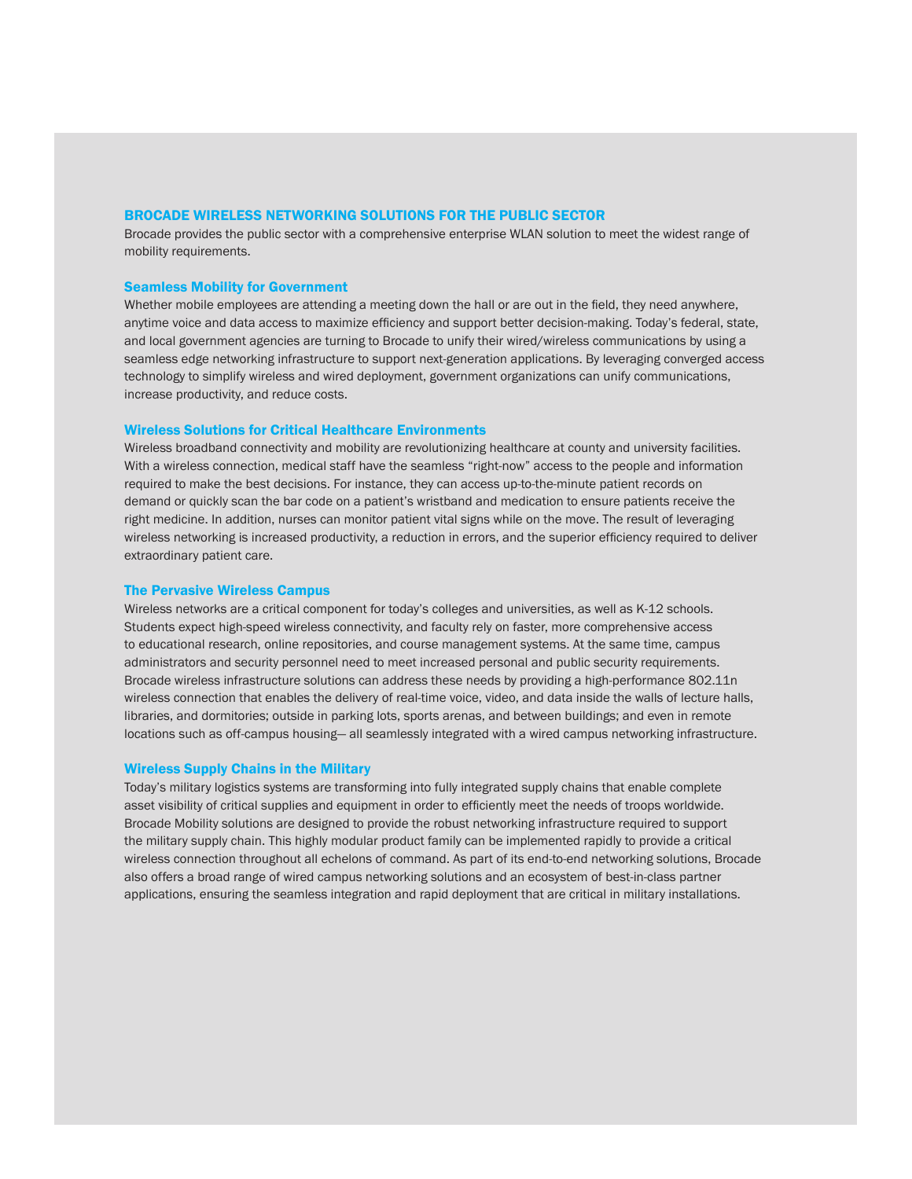#### BROCADE WIRELESS NETWORKING SOLUTIONS FOR THE PUBLIC SECTOR

Brocade provides the public sector with a comprehensive enterprise WLAN solution to meet the widest range of mobility requirements.

#### Seamless Mobility for Government

Whether mobile employees are attending a meeting down the hall or are out in the field, they need anywhere, anytime voice and data access to maximize efficiency and support better decision-making. Today's federal, state, and local government agencies are turning to Brocade to unify their wired/wireless communications by using a seamless edge networking infrastructure to support next-generation applications. By leveraging converged access technology to simplify wireless and wired deployment, government organizations can unify communications, increase productivity, and reduce costs.

#### Wireless Solutions for Critical Healthcare Environments

Wireless broadband connectivity and mobility are revolutionizing healthcare at county and university facilities. With a wireless connection, medical staff have the seamless "right-now" access to the people and information required to make the best decisions. For instance, they can access up-to-the-minute patient records on demand or quickly scan the bar code on a patient's wristband and medication to ensure patients receive the right medicine. In addition, nurses can monitor patient vital signs while on the move. The result of leveraging wireless networking is increased productivity, a reduction in errors, and the superior efficiency required to deliver extraordinary patient care.

#### The Pervasive Wireless Campus

Wireless networks are a critical component for today's colleges and universities, as well as K-12 schools. Students expect high-speed wireless connectivity, and faculty rely on faster, more comprehensive access to educational research, online repositories, and course management systems. At the same time, campus administrators and security personnel need to meet increased personal and public security requirements. Brocade wireless infrastructure solutions can address these needs by providing a high-performance 802.11n wireless connection that enables the delivery of real-time voice, video, and data inside the walls of lecture halls, libraries, and dormitories; outside in parking lots, sports arenas, and between buildings; and even in remote locations such as off-campus housing— all seamlessly integrated with a wired campus networking infrastructure.

#### Wireless Supply Chains in the Military

Today's military logistics systems are transforming into fully integrated supply chains that enable complete asset visibility of critical supplies and equipment in order to efficiently meet the needs of troops worldwide. Brocade Mobility solutions are designed to provide the robust networking infrastructure required to support the military supply chain. This highly modular product family can be implemented rapidly to provide a critical wireless connection throughout all echelons of command. As part of its end-to-end networking solutions, Brocade also offers a broad range of wired campus networking solutions and an ecosystem of best-in-class partner applications, ensuring the seamless integration and rapid deployment that are critical in military installations.